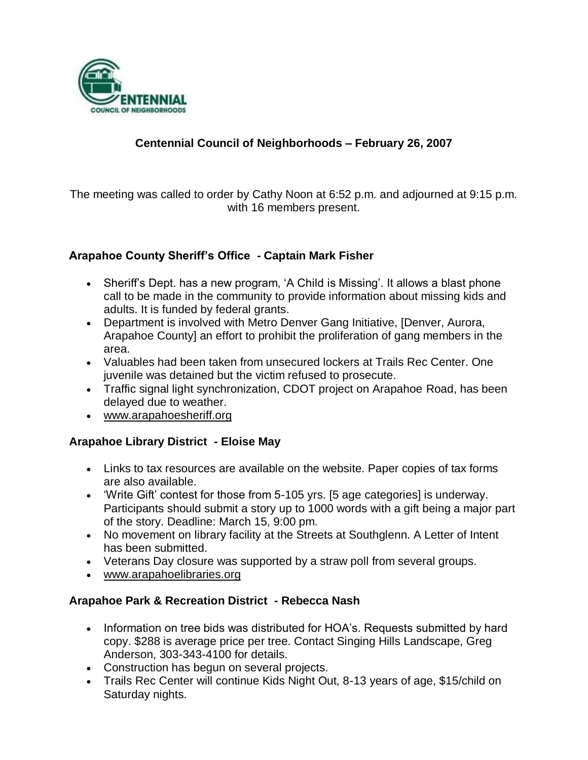

## **Centennial Council of Neighborhoods – February 26, 2007**

The meeting was called to order by Cathy Noon at 6:52 p.m. and adjourned at 9:15 p.m. with 16 members present.

### **Arapahoe County Sheriff's Office - Captain Mark Fisher**

- Sheriff's Dept. has a new program, 'A Child is Missing'. It allows a blast phone call to be made in the community to provide information about missing kids and adults. It is funded by federal grants.
- Department is involved with Metro Denver Gang Initiative, [Denver, Aurora, Arapahoe County] an effort to prohibit the proliferation of gang members in the area.
- Valuables had been taken from unsecured lockers at Trails Rec Center. One juvenile was detained but the victim refused to prosecute.
- Traffic signal light synchronization, CDOT project on Arapahoe Road, has been delayed due to weather.
- www.arapahoesheriff.org

#### **Arapahoe Library District - Eloise May**

- Links to tax resources are available on the website. Paper copies of tax forms are also available.
- 'Write Gift' contest for those from 5-105 yrs. [5 age categories] is underway. Participants should submit a story up to 1000 words with a gift being a major part of the story. Deadline: March 15, 9:00 pm.
- No movement on library facility at the Streets at Southglenn. A Letter of Intent has been submitted.
- Veterans Day closure was supported by a straw poll from several groups.
- www.arapahoelibraries.org

#### **Arapahoe Park & Recreation District - Rebecca Nash**

- Information on tree bids was distributed for HOA's. Requests submitted by hard copy. \$288 is average price per tree. Contact Singing Hills Landscape, Greg Anderson, 303-343-4100 for details.
- Construction has begun on several projects.
- Trails Rec Center will continue Kids Night Out, 8-13 years of age, \$15/child on Saturday nights.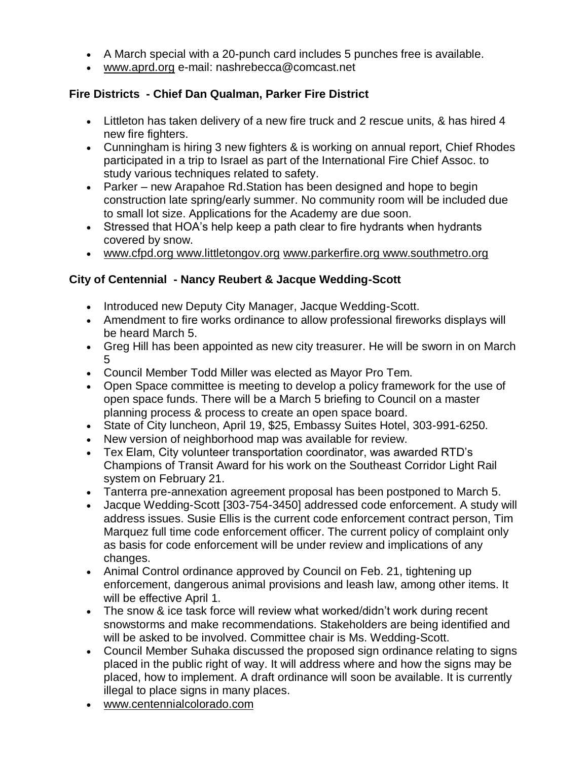- A March special with a 20-punch card includes 5 punches free is available.
- www.aprd.org e-mail: nashrebecca@comcast.net

### **Fire Districts - Chief Dan Qualman, Parker Fire District**

- Littleton has taken delivery of a new fire truck and 2 rescue units, & has hired 4 new fire fighters.
- Cunningham is hiring 3 new fighters & is working on annual report, Chief Rhodes participated in a trip to Israel as part of the International Fire Chief Assoc. to study various techniques related to safety.
- Parker new Arapahoe Rd.Station has been designed and hope to begin construction late spring/early summer. No community room will be included due to small lot size. Applications for the Academy are due soon.
- Stressed that HOA's help keep a path clear to fire hydrants when hydrants covered by snow.
- www.cfpd.org www.littletongov.org www.parkerfire.org www.southmetro.org

### **City of Centennial - Nancy Reubert & Jacque Wedding-Scott**

- Introduced new Deputy City Manager, Jacque Wedding-Scott.
- Amendment to fire works ordinance to allow professional fireworks displays will be heard March 5.
- Greg Hill has been appointed as new city treasurer. He will be sworn in on March 5
- Council Member Todd Miller was elected as Mayor Pro Tem.
- Open Space committee is meeting to develop a policy framework for the use of open space funds. There will be a March 5 briefing to Council on a master planning process & process to create an open space board.
- State of City luncheon, April 19, \$25, Embassy Suites Hotel, 303-991-6250.
- New version of neighborhood map was available for review.
- Tex Elam, City volunteer transportation coordinator, was awarded RTD's Champions of Transit Award for his work on the Southeast Corridor Light Rail system on February 21.
- Tanterra pre-annexation agreement proposal has been postponed to March 5.
- Jacque Wedding-Scott [303-754-3450] addressed code enforcement. A study will address issues. Susie Ellis is the current code enforcement contract person, Tim Marquez full time code enforcement officer. The current policy of complaint only as basis for code enforcement will be under review and implications of any changes.
- Animal Control ordinance approved by Council on Feb. 21, tightening up enforcement, dangerous animal provisions and leash law, among other items. It will be effective April 1.
- The snow & ice task force will review what worked/didn't work during recent snowstorms and make recommendations. Stakeholders are being identified and will be asked to be involved. Committee chair is Ms. Wedding-Scott.
- Council Member Suhaka discussed the proposed sign ordinance relating to signs placed in the public right of way. It will address where and how the signs may be placed, how to implement. A draft ordinance will soon be available. It is currently illegal to place signs in many places.
- www.centennialcolorado.com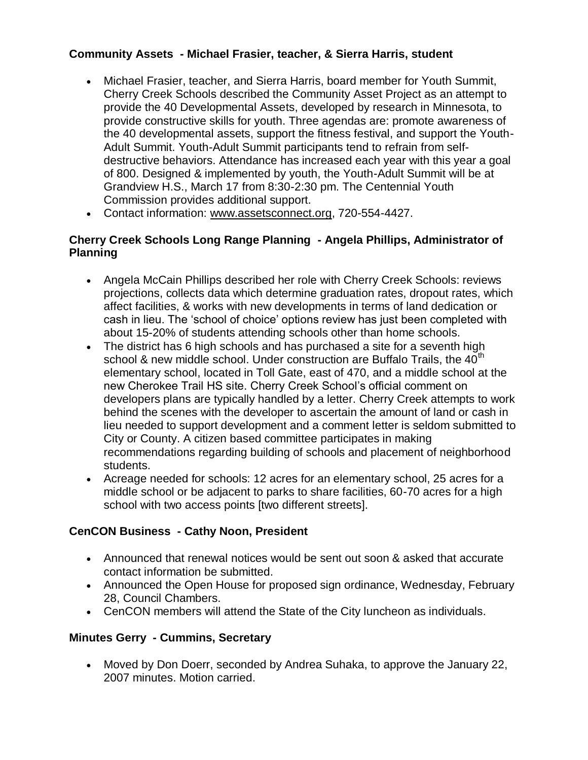## **Community Assets - Michael Frasier, teacher, & Sierra Harris, student**

- Michael Frasier, teacher, and Sierra Harris, board member for Youth Summit, Cherry Creek Schools described the Community Asset Project as an attempt to provide the 40 Developmental Assets, developed by research in Minnesota, to provide constructive skills for youth. Three agendas are: promote awareness of the 40 developmental assets, support the fitness festival, and support the Youth-Adult Summit. Youth-Adult Summit participants tend to refrain from selfdestructive behaviors. Attendance has increased each year with this year a goal of 800. Designed & implemented by youth, the Youth-Adult Summit will be at Grandview H.S., March 17 from 8:30-2:30 pm. The Centennial Youth Commission provides additional support.
- Contact information: www.assetsconnect.org, 720-554-4427.

## **Cherry Creek Schools Long Range Planning - Angela Phillips, Administrator of Planning**

- Angela McCain Phillips described her role with Cherry Creek Schools: reviews projections, collects data which determine graduation rates, dropout rates, which affect facilities, & works with new developments in terms of land dedication or cash in lieu. The 'school of choice' options review has just been completed with about 15-20% of students attending schools other than home schools.
- The district has 6 high schools and has purchased a site for a seventh high school & new middle school. Under construction are Buffalo Trails, the 40<sup>th</sup> elementary school, located in Toll Gate, east of 470, and a middle school at the new Cherokee Trail HS site. Cherry Creek School's official comment on developers plans are typically handled by a letter. Cherry Creek attempts to work behind the scenes with the developer to ascertain the amount of land or cash in lieu needed to support development and a comment letter is seldom submitted to City or County. A citizen based committee participates in making recommendations regarding building of schools and placement of neighborhood students.
- Acreage needed for schools: 12 acres for an elementary school, 25 acres for a middle school or be adjacent to parks to share facilities, 60-70 acres for a high school with two access points [two different streets].

## **CenCON Business - Cathy Noon, President**

- Announced that renewal notices would be sent out soon & asked that accurate contact information be submitted.
- Announced the Open House for proposed sign ordinance, Wednesday, February 28, Council Chambers.
- CenCON members will attend the State of the City luncheon as individuals.

# **Minutes Gerry - Cummins, Secretary**

 Moved by Don Doerr, seconded by Andrea Suhaka, to approve the January 22, 2007 minutes. Motion carried.